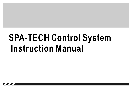# **SPA-TECH Control System Instruction Manual**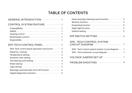# **TABLE OF CONTENTS**

## GENERAL INTRODUCTION ------------ 1

| Compatibility ------------------------------ 1    |  |
|---------------------------------------------------|--|
|                                                   |  |
| Heating control ---------------------------- 1    |  |
| Multimedia control ----------------------- 1      |  |
| Expansibility --------------------------------- 1 |  |

## SPA-TECH CONTROL PANEL ----------- 2

| SPA-Tech control panel operation instruction ----- 2 |  |
|------------------------------------------------------|--|
| Stand-by/startup --------------------------- 3       |  |
| Temperature setting ------------------------ 3       |  |
| Systemic time setting ------------------------ 3     |  |
| The filtering cycle setting ---------------------- 4 |  |
| Mode setting ------------------------------- 4       |  |
| Light setting --------------------------------- 5    |  |
| Massage automatically turns off function --------- 5 |  |
| Digital diagnostics function -------------------- 5  |  |

| Hose and pipe clearing cycle function ----------- 5    |
|--------------------------------------------------------|
| Memory function --------------------------- 5          |
| Expanding function -------------------------- 5        |
| Night light function -------------------------- 5      |
| Default setting ------------------------------ 5       |
|                                                        |
| DIP SWITCH SETTING --------------- 6                   |
| <b>SPA-TECH CONTROL SYSTEM</b>                         |
| CIRCUIT DIAGRAM ------------------- 7                  |
| SPA - Tech control system master circuit diagram --- 7 |
| SPA - Tech extension circuit diagram ------------ 7    |
|                                                        |
| VOLTAGE JUMPER SET UP ----------- 7                    |
|                                                        |
| PROBLEM SHOOTING --------------- 8                     |
|                                                        |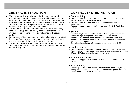# **GENERAL INSTRUCTION**

- SPA tech control system is specially designed for portable spa and swim spa, which have several Intelligent Control and self-protection technology. According to the numbers of pump, the system can be divided to two pumps system, three pumps system and four pumps system, each system have standard version and luxury version for your choice.
- The munual suit for both standard control version and luxury  $\blacksquare$ control version, please be kindly informed that some content only suit for luxury control version will comes with special remark.
- $\blacksquare$  If some parts of the equipment are not available in your product, the related function is not available as well, the related button on the control panel should be ignored accordingly.
- The manufacturer reserves the right to modify part of the design or specifications without prior notice and without entering into any obligation.

# **CONTROL SYSTEM FEATURE**

#### ■ Compatibility

- The system can work in AC220~240V, AC380V and AC220V\*2P, the frequency can work in 50Hz and 60Hz.
- The system can work with both circ pump system and dual speed pump system.
- The system reserve several control programs with 12 DIP switches setting.

#### ■ Safety

- The control system have multi-self-protection program: water flow protection, high voltage protection, low voltage protection, low temperature protection, high temperature protection, super high temperature protection and anti dry heating protection to quarantee the system runs safely.
- Control box is made by ABS with water proof design up to IP 55.

#### $\blacksquare$  Heater control

- The control system comes with a built-in heater to heat up the water.
- The control system can control heat pump or heat exchanger by setting different DIP of composited programme system.

#### • Multimedia control

The system support DVD, liftable TV, IPOD and different kinds of Audio medias.

## $\blacksquare$  Expansibility

The luxury control system comes with excellent expansibility, through adding the extended circuit board, separated control panel, assistant control panel to achieve extra function.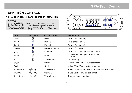# **SPA-TECH CONTROL**

#### • SPA-Tech control panel operation instruction

#### NOTES:

1. Above guide is used to Spa-Tech C-II control panel only.

2. Key "Jets 1" : If it controls a 1 speed pump, it functions

"Turn on/off" for this pump. If it controls a 2 speed pump,

it functions "Turn on at high speed/turn to low speed/turn off".



| <b>KEY</b>    | <b>SYMBOL</b>                                          | <b>FUNCTION</b>   | <b>DESCRIPTION</b>                              |  |
|---------------|--------------------------------------------------------|-------------------|-------------------------------------------------|--|
| <b>POWER</b>  | $\left( \Phi \right)$                                  | Power             | Turn on/off/standby                             |  |
| Jets 1        | ۴                                                      | Pump 1            | Turn on/off pump1                               |  |
| Jets 2        | 3                                                      | Pump <sub>2</sub> | Turn on/off pump2                               |  |
| <b>Blower</b> | $\bigcirc$                                             | Air Blower pump   | Turn on/off blower                              |  |
| Light         | $\circledast$                                          | Lighting          | Turn on/off light, and set light mode           |  |
| Mode          | $(\hspace{-.1cm}\star\hspace{-.1cm})$                  | Mode              | 1. Sleep/economy/standard mode<br>2. Yes/no     |  |
| Time          | ٧                                                      | Time setting      | Time setting                                    |  |
| Warm          | $(\spadesuit)$                                         | Warm              | Adjust Time/Temp(+)/Select modes                |  |
| Cool          | $(\mathbb{Q})$                                         | Cool              | Adjust Time/Temp(-)/Select modes                |  |
| Time+Warm     | $(\%)$<br>$+$ ( $\circ$ )                              | Time+Warm         | Reverse/non-reverse time and temperatue display |  |
| Warm+Cool     | $+$ $($<br>$(\bigcirc$                                 | Warm+Cool         | Panel Locked(PL)/unlock panel                   |  |
| Time+Blower   | $+$ $\left($<br>$\left(\frac{1}{2},\frac{1}{2}\right)$ | Time+Blower       | Restore factory settings                        |  |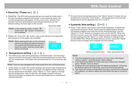## **Stand-by/Power on (** $\circledcirc$ **)**

Stand by: The SPA will automatically go into stand-by mode when the spa is properly supplied with power. In the stand-by mode, the current temperature will appear on the LCD screen, and the Thermostatic function and filtration cycle will get started as per the default setting. No back light on the screen.

Stand-by mode

Note: In the stand-by mode, except " $\circledcirc$ " button and "  $\circledR$  " button, no buttons are available.



Note: When leaving the spa run for one hour  $P_{\text{lower on}}$ without touching any panel's buttons, the system will automatically go into stand-by mode, and the screen light will be turned off.



#### Temperature setting  $(\circledast + \circledast)$  $\blacksquare$

The SPA comes with thermostatically controlled heater; set the tempe- $\bullet$ rature from the control panel, when the actual temperature is lower than the set temperature, the heater will automatically turn on to heat the spa water.

Note: Only the spa equipped with heat pump have the cooling function.

 $\bullet$ In the power on mode, the screen displays the actual water temperature. When "Warm" or "Cool" button is pressed, the digital number showing the set temperature will flash, press "Warm" or "Cool" again to change the set temperature. After 5 seconds, the digital numbers will stop flashing and begin to display the current spa temperature, temperature setting complete.

To raise the set temperature press the "Warm" button.To lower the set temperature, press the "Cool" button. The temperature set point (set temperature) can be adjusted from 10°C to 40°C.

#### ■ Systemic time setting (  $\circled{(*)} + \circled{*}$  )

• Press "Time" button, the current time will be displayed. Program the clock by pressing the "Mode" button and the digital display window will display a digital clock with the HOUR setting flashing. Use the "Warm" or "Cool" buttons to change to the correct HOUR. When the HOUR is correct, press the "Mode" button to save changes and go to minutes setting.Use the "Warm" or "Cool" Buttons to change to the correct MINUTES. When the MINUTES are correct, press the "Mode" button to save changes and complete the time setting.





Before setting the time After setting the time

#### Note:

- 1. The time displayed in the screen is 12-hour clock, AM means " before midday", and PM means "after midday"
- 2. If the HOUR and MINUTE of the time don't need to be changed, press "MODE" twice to skip it;
- 3. Program the time setting as per the above procedures, if leaving the buttons alone for 5 seconds, you will exit the time setting.
- 4. The clock will remain ticking when the spa is turned off or powered off suddenly, no need to adjust the time when the spa is turned on again.

----- 3 ---- -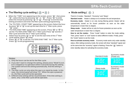## ■ The filtering cycle setting ( $\circledR$ ) +  $\circledR$ )

- When the "TIME" icon appearing on the screen, press " $\mathcal{O}$ ", then press  $\bullet$ " $\circledast$ ", select the hour by pressing "  $\circledast$  " or "  $\circledast$  " . Press "  $\circledast$  " to enter select the minute by pressing "  $\circledcirc$  " or " $\circledcirc$  " . Press" $\circledast$  " to exit the time setting procedure and enter the filter cycle setting programming.
- The "FILTER1, START TIME" appearing on the screen.Select the hour by press "@" or " $\circledcirc$ " to set up the start time for 1 $^{\mathrm{st}}$  filter cycle, press " $\widetilde{\left( \ast \right)}$  " enter .
- "FILTER1 END TIME" appearing on the screen. Press " $\circledcirc$ " or " $\circledcirc$ " to set the "FILTER1 END TIME" for 1 $^{\rm st}$  filter cycle.Press " $\circledast$ " exit the 1 $^{\rm st}$ filter cycle and enter the  $2^{nd}$  filter cycle setting.
- Select hour by press " $\circledcirc$ " or " $\circledcirc$ " to set the start time of the 2<sup>nd</sup> filter cycle setting, press " $\mathcal{R}$ " enter.
- Press " $\circledcirc$ " or " $\circledcirc$ " to set the "FILTER2 END TIME" for 2st filter cycle. Press " $\mathcal{R}$ " to exit programming.



#### Notes:

- 1. Only the hours can be set for the filter cycle.
- 2. If you don't want to change the setting, please press "Mode"to exit. If it is stopped or no operation within 5 seconds during the setting. The system will exit the setting automatically. And the setting is failed.
- 3. The filter cycle run only when the spa is on stand-by mode. In this case, the control panel will show "O3". When the spa is powered on, the filter cycle will not be operated.
- 4. Different time setting will be recommended. If the time setting is same, only 1 time filter cycle will be operated.

## • Mode setting  $(\mathcal{R})$ )

There're 3 modes, "Standard", "Economy" and "Sleep".

**Standard mode:** Heater is always on to maintain the set temperature.

**Economy mode:** Heater is on only during filtering period. Heater will be automatically turned on for frozen protection as soon as the water temperature is lower than 11 degree.

**Sleep mode:** Heater will be on only for frozen protection as soon as the water temperature is lower than 11 degree.

**How to set the modes:** Press "mode" button to enter the mode setting. Then, press "warm" or "cool" button to select different modes. Finally, press the "mode" button to set the mode.

**How to activate economy mode:** Economy mode works only under standby status. After setting economy mode, the screen will show "standard" signal and at the same time the "economy" signal is flashing. Press the " $\circledcirc$ " button to enter standby status for activating the economy mode.









Economic mode (Stand-by)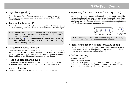## • Light Setting ( (@) )

Press the button "Light" to turn on the light, once again to turn off the light, press the button again to turn the light and change into another mode.

#### **Automatically turns off**  $\blacksquare$

If no buttons press for a while, the on running JET1, JET2 and blowers will automatically turn off. Press the relevant button to start again.

- Note: If the heater is on working and the Jet1 is dual speed pump, then Jet1 will automatically turn to the low speed, and it will not stop running until the heater stop.
- Note:Press( $\circledast$  +  $\circledast$ ) to reset the automatic turn off time. There are three options:15minutes, 30minutes, 60minutes. P15, P30, P60 will display after set.

#### **Digital diagnostics function**  $\blacksquare$

The control system will automatically turn on the protect function after error message appear on the LCD display if there is probably something wrong with the SPA, you can refer to "Trouble shooting" to deal with these problem or provide these information to your dealer.

#### Hose and pipe clearing cycle  $\blacksquare$

The system will turn on air-blower and massage pump high speed for 3~4 minutes to clean the hose and pipe in every filtration cycle.

## **Memory function**

The system will revert to the last setting after each power on.

#### **Expanding function (suitable for luxury panel)**

Luxury control system can control not only the main control panel for standard equipment, but also can control auxiliary control panel and independent control panel. It can maximum control 4 massage pump through by the auxiliary control panel. Independent control panel can specially control the option equipment by itself.



**Option** Independent

Note: The luxury control system can control up to one auxiliary control panel and 5 independent control panel.

#### • Night light function(suitable for luxury panel)

Luxury main control panel, auxiliary control panel and independent control panel are all have high brightness LED backlight, it will convenience to operate the control panel at night.

## • Default setting

Temperature: 38℃.

Model: Standard model.

First filter cycle (filter 1): (8:00AM-10:00AM or 8:00-10:00). Second filter cycle (filter 2): (8:00PM-10:00PM or 20:00-22:00). The default automatic turn off time is 15 minutes.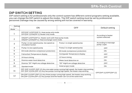## **DIP SWITCH SETTING**

DIP switch setting is for professionals only the control system has different control programs setting available, you can change the DIP switch to adjust the modes. The DIP switch setting must be set by professional personnel.Damage may be caused by wrong setting will not be covered in warranty.

| Setting<br>Mode | <b>OFF</b><br><b>ON</b>                                                                                                                                                            |                                         | Default setting                      |
|-----------------|------------------------------------------------------------------------------------------------------------------------------------------------------------------------------------|-----------------------------------------|--------------------------------------|
|                 | OFF(DIP 1)/OFF(DIP 2), Heat pump only mode.<br>OFF(DIP 1)/ON(DIP 2), Heater only mode.                                                                                             | According to heater<br>system selected. |                                      |
| $\overline{2}$  | ON(DIP 1)/OFF(DIP 2), Heater work with Heat pump mode.<br>ON(DIP 1)/ON(DIP 2), Heat exchanger work mode.                                                                           |                                         |                                      |
| 3               | Pump 1 is two speed pump, low speed as<br>Pump 1 is single speed pump<br>circulation fuction                                                                                       |                                         | According to massage<br>pump 1 type. |
| 4               | Pump 2 is single speed pump<br>Pump 2 is two speed pump                                                                                                                            |                                         | <b>OFF</b>                           |
| 5               | E8 mode (dismiss compressor protection)                                                                                                                                            | E8 mode (compressor protection)         | <b>ON</b>                            |
| 6               | Centigrade Temperature display<br>Fahrenheit Temperature display                                                                                                                   |                                         | <b>OFF</b>                           |
| $\overline{7}$  | 24 hours timing                                                                                                                                                                    | <b>OFF</b>                              |                                      |
| 8               | Dismiss water level detective<br>Water level detective on                                                                                                                          |                                         | ON                                   |
| 9               | "E5" High/Low voltage detective<br>Dismiss "E5" High/Low voltage detective                                                                                                         |                                         | <b>OFF</b>                           |
| 10              | Hotel project mode<br>Standard mode                                                                                                                                                |                                         | <b>ON</b>                            |
| 11              | OFF (DIP 11)/OFF (DIP 12): Any one water pump running high speed, the heater stop working.<br>OFF (DIP 11)/ON (DIP 12): Any two pumps running high speed, the heater stop working. | OFF(DIP 11)/OFF(DIP 12)                 |                                      |
| 12 <sub>2</sub> | ON (DIP 11)/OFF (DIP 12): Any three pumps runing high speed, the heater stop working.<br>ON (DIP 11)/ON (DIP 12): Any pumps and the heater can run at the same time.               |                                         |                                      |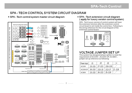# SPA - TECH CONTROL SYSTEM CIRCUIT DIAGRAM

#### • SPA - Tech control system master circuit diagram



#### • SPA - Tech extension circuit diagram (apply for luxury version control system)

SPA - Tech luxury version of control system will have the extension function after the extension control circuit board is set inside the control box. Following is the wiring reference for the circuit diagram of the extension control board:



# **VOLTAGE JUMPER SET UP**

This system has designed phase splitter to meet the requirement of AC220V , AC220V-2P, AC380V , jumper set up reference as following:

| Power input                          | J1 | J <sub>2</sub>             | J3                          | J4                  |
|--------------------------------------|----|----------------------------|-----------------------------|---------------------|
| AC230V                               |    |                            | $J3-J15$ $J7-J13$ $J16-J19$ |                     |
| AC230V/2P   J6-J10   J15-J3   J13-J7 |    |                            |                             | $J$ <b>5</b> $J$ 19 |
| AC380V                               |    | $J3-J15$   J6-J13   J5-J19 |                             |                     |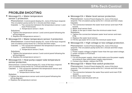# **PROBLEM SHOOTING**

Message E1-> Water temperature  $\bullet$ sensor 1 protection.

> Phenomenon: Control panel display E1, none of the keys respond. The circulation pump works for 1 minute and then stops.

- Causes: 1. The connection between the temperature sensor 1 and main PCB loosed.
	- 2. Temperature sensor 1 fault.

Solutions:

- 1. Tighten the temperature sensor 1 and control panel following the wiring diagram.
- 2. Replace the temperature sensor 1.
- Message E2-> Water temperature sensor 2 protection.

Phenomenon: Control Panel display E2, none of the keys respond. The circulation pump works for 1 minute and then stops.

- Causes: 1. The connection between the temperature sensor 2 and main PCB loosed.
	- 2. Temperature sensor 2 fault.

Solutions:

- 1. Tighten the temperature sensor 2 and control panel following the wiring diagram.
- 2. Replace the temperature sensor 2.
- Message E3-> Heat pump copper tube temperature sensor protection.

Phenomenon: Control Panel display E3, none of the keys respond. The circulation pump works for 1 minute and then stops.

- Causes: 1. The connection between the temperature sensor and main PCB loosed.
	- 2. Temperature sensor fault.

#### Solution:

- 1.Tighten the temperature sensor and control panel following the wiring diagram.
- 2. Replace the temperature sensor.

Message E4-> Water level sensor protection.

Phenomenon: Control Panel display E4, none of the keys Causes: respond. The circulation pump works for 1 minute and then stops.

- 1. The connection between the water level sensor and main PCB loosed.
- 2. Water level sensor fault.
- 3. Water in the spa is lower than the minimum water level.

Solutions:

- 1. Tighten the connection between water level sensor and main PCB.
- 2. Replace the water level sensor.
- 3. Fill the spa water till it is over the minimum water level.
- Message E5-> High voltage or low voltage protection.

Phenomenon: Control Panel display E5, none of the keys respond. The circulation pump works for 1 minute and then stops. Causes:

- 1. Power supply voltage is higher/ lower than the spa rated voltage.
- 2. power receptor in PCB fault.

Solutions:

- 1. Cut off the power supply, check and make sure the power supply according to Spa rated power supply requirement.
- 2. Contact your dealer, replace the PCB.
- Message E6-> Water flow switch protection

Phenomenon: Control Panel display E6, none of the keys respond. The circulation pump works for 1 minute and then stops. Causes:

- 1. The connection between the water flow switch and main PCB loosed.
- 2. Water flow switch fault.
- 3. Circulation tube blocked with air.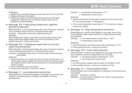#### Solutions:

- 1. Tighten the connection between water flow switch and main PCB.
- 2. Replace the water flow switch.
- 3. Check and make sure all the side check valves are fully open. Uptight the slipknot of the circulation pump to drain out the blocked air in the plumbing.
- Message E8-> Heat pump compressor high/low pressure protection.

Phenomenon: Control Panel display E8, none of the keys respond. The circulation pump works for 1 minute and then stops.

Causes: Heat pump compressor high/low pressure. Solution:

Shut off the power supply, disconnect the heat pump, check if the power cables and signal cables are correctly connected, if the problem persists, contact your dealer.

Message E9-> Inadequate water flow or incorrect  $\bullet$ water level protection.

Phenomenon: Control Panel display E9, none of the keys respond. The circulation pump works for 1 minute and then stops.

Causes: Inadequate water flow or incorrect water level protection from heater.

Solution:

- 1. Check and make sure all the side check valves are fully open. Cut off the power supply, uptight the slip knot of the circulation pump or dual speed pump to drain out the blocked air in the plumbing and power on again.
- 2. check if the heater sensors broken.
- 3. If the problem persists, contact your dealer.
- Message C Low temperature protection.  $\bullet$

Phenomenon: Control Panel display C message, none of the keys respond, circulation pump is working, and heater is working automatically.

Causes: 1. Actual water temperature  $\leq 7^{\circ}$ C.

2. Temperature sensor fault.

Solution:

- 1. Heater will heat till the spa water temperature has arisen up to 9℃, then the message "C" disappears.
- 2. If the actual temperature stays below 7°C for long time, please contact your dealer.
- Message H-> High temperature protection.

Phenomenon: Control Panel display H message, none of the keys respond, heater stops working, circulation pump working automatically.

Causes: 1. The detected water temperature  $\geq 43^{\circ}$ C.

2. Temperature sensor fault .

Solution:

1. Shut off the power and wait till spa water temperature <41 ℃ . 2. If the problem persists, contact your dealer.

#### Message HH-> Over heat protection

Phenomenon: Control Panel display HH message, none of the keys respond, and all the equipments are shut down.

Causes: 1. The detected water temperature  $\geq 47^{\circ}$ C.

2. The temperature sensor fault; Solution:

- 1. Cut off the power supply, wait the water to cool down <41°C.
- 2. If the problem persists, contact your dealer for help.

#### Message PL-> Control panel locked

Phenomenon: the screen displays PL message, all the buttons are unavailable

Causes: The panel is locked;

Solution: Press the button "WARM" and "COOL" simultaneously to unlock the panel.

----- 9 -----